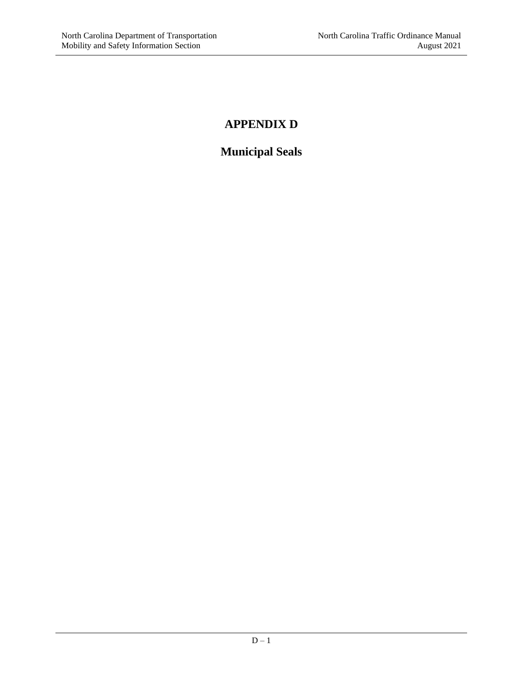# **APPENDIX D**

# **Municipal Seals**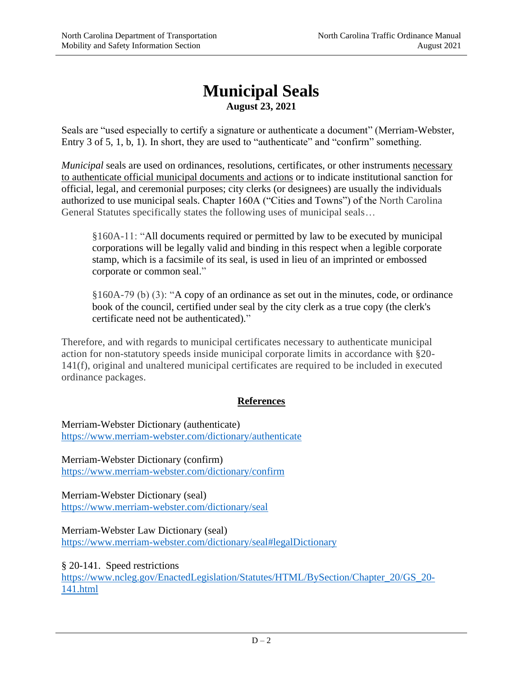## **Municipal Seals August 23, 2021**

Seals are "used especially to certify a signature or authenticate a document" (Merriam-Webster, Entry 3 of 5, 1, b, 1). In short, they are used to "authenticate" and "confirm" something.

*Municipal* seals are used on ordinances, resolutions, certificates, or other instruments necessary to authenticate official municipal documents and actions or to indicate institutional sanction for official, legal, and ceremonial purposes; city clerks (or designees) are usually the individuals authorized to use municipal seals. Chapter 160A ("Cities and Towns") of the North Carolina General Statutes specifically states the following uses of municipal seals…

§160A-11: "All documents required or permitted by law to be executed by municipal corporations will be legally valid and binding in this respect when a legible corporate stamp, which is a facsimile of its seal, is used in lieu of an imprinted or embossed corporate or common seal."

§160A-79 (b) (3): "A copy of an ordinance as set out in the minutes, code, or ordinance book of the council, certified under seal by the city clerk as a true copy (the clerk's certificate need not be authenticated)."

Therefore, and with regards to municipal certificates necessary to authenticate municipal action for non-statutory speeds inside municipal corporate limits in accordance with §20- 141(f), original and unaltered municipal certificates are required to be included in executed ordinance packages.

### **References**

Merriam-Webster Dictionary (authenticate) <https://www.merriam-webster.com/dictionary/authenticate>

Merriam-Webster Dictionary (confirm) <https://www.merriam-webster.com/dictionary/confirm>

Merriam-Webster Dictionary (seal) <https://www.merriam-webster.com/dictionary/seal>

Merriam-Webster Law Dictionary (seal) <https://www.merriam-webster.com/dictionary/seal#legalDictionary>

§ 20-141. Speed restrictions [https://www.ncleg.gov/EnactedLegislation/Statutes/HTML/BySection/Chapter\\_20/GS\\_20-](https://www.ncleg.gov/EnactedLegislation/Statutes/HTML/BySection/Chapter_20/GS_20-141.html) [141.html](https://www.ncleg.gov/EnactedLegislation/Statutes/HTML/BySection/Chapter_20/GS_20-141.html)